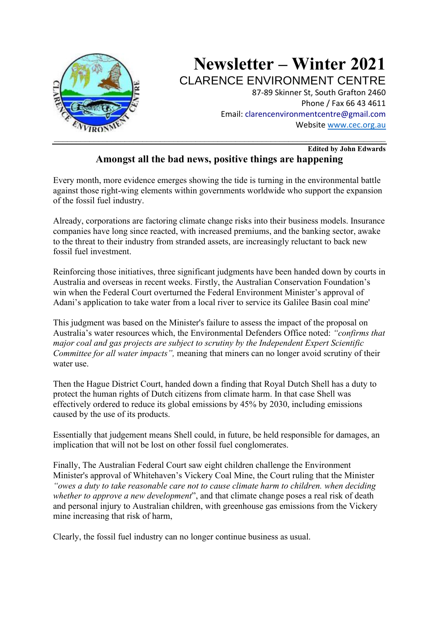

### **Edited by John Edwards Amongst all the bad news, positive things are happening**

Every month, more evidence emerges showing the tide is turning in the environmental battle against those right-wing elements within governments worldwide who support the expansion of the fossil fuel industry.

Already, corporations are factoring climate change risks into their business models. Insurance companies have long since reacted, with increased premiums, and the banking sector, awake to the threat to their industry from stranded assets, are increasingly reluctant to back new fossil fuel investment.

Reinforcing those initiatives, three significant judgments have been handed down by courts in Australia and overseas in recent weeks. Firstly, the Australian Conservation Foundation's win when the Federal Court overturned the Federal Environment Minister's approval of Adani's application to take water from a local river to service its Galilee Basin coal mine'

This judgment was based on the Minister's failure to assess the impact of the proposal on Australia's water resources which, the Environmental Defenders Office noted: *"confirms that major coal and gas projects are subject to scrutiny by the Independent Expert Scientific Committee for all water impacts",* meaning that miners can no longer avoid scrutiny of their water use.

Then the Hague District Court, handed down a finding that Royal Dutch Shell has a duty to protect the human rights of Dutch citizens from climate harm. In that case Shell was effectively ordered to reduce its global emissions by 45% by 2030, including emissions caused by the use of its products.

Essentially that judgement means Shell could, in future, be held responsible for damages, an implication that will not be lost on other fossil fuel conglomerates.

Finally, The Australian Federal Court saw eight children challenge the Environment Minister's approval of Whitehaven's Vickery Coal Mine, the Court ruling that the Minister *"owes a duty to take reasonable care not to cause climate harm to children. when deciding whether to approve a new development*", and that climate change poses a real risk of death and personal injury to Australian children, with greenhouse gas emissions from the Vickery mine increasing that risk of harm,

Clearly, the fossil fuel industry can no longer continue business as usual.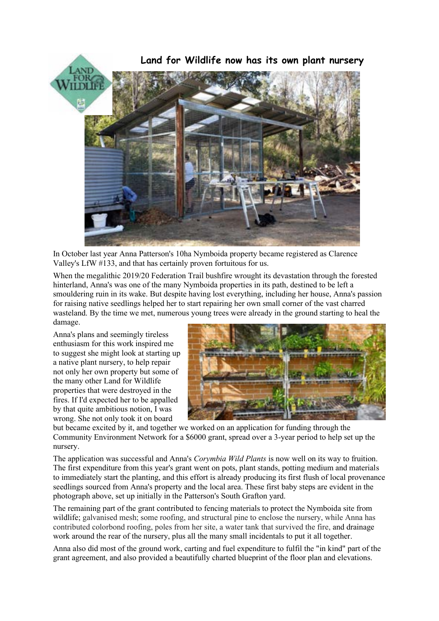

In October last year Anna Patterson's 10ha Nymboida property became registered as Clarence Valley's LfW #133, and that has certainly proven fortuitous for us.

When the megalithic 2019/20 Federation Trail bushfire wrought its devastation through the forested hinterland, Anna's was one of the many Nymboida properties in its path, destined to be left a smouldering ruin in its wake. But despite having lost everything, including her house, Anna's passion for raising native seedlings helped her to start repairing her own small corner of the vast charred wasteland. By the time we met, numerous young trees were already in the ground starting to heal the damage.

Anna's plans and seemingly tireless enthusiasm for this work inspired me to suggest she might look at starting up a native plant nursery, to help repair not only her own property but some of the many other Land for Wildlife properties that were destroyed in the fires. If I'd expected her to be appalled by that quite ambitious notion, I was wrong. She not only took it on board



but became excited by it, and together we worked on an application for funding through the Community Environment Network for a \$6000 grant, spread over a 3-year period to help set up the nursery.

The application was successful and Anna's *Corymbia Wild Plants* is now well on its way to fruition. The first expenditure from this year's grant went on pots, plant stands, potting medium and materials to immediately start the planting, and this effort is already producing its first flush of local provenance seedlings sourced from Anna's property and the local area. These first baby steps are evident in the photograph above, set up initially in the Patterson's South Grafton yard.

The remaining part of the grant contributed to fencing materials to protect the Nymboida site from wildlife; galvanised mesh; some roofing, and structural pine to enclose the nursery, while Anna has contributed colorbond roofing, poles from her site, a water tank that survived the fire, and drainage work around the rear of the nursery, plus all the many small incidentals to put it all together.

Anna also did most of the ground work, carting and fuel expenditure to fulfil the "in kind" part of the grant agreement, and also provided a beautifully charted blueprint of the floor plan and elevations.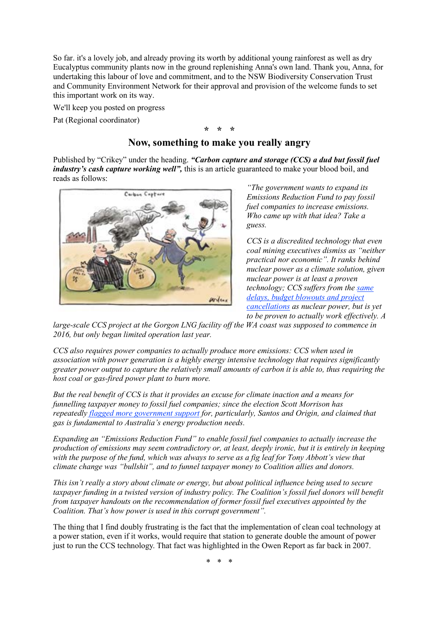So far. it's a lovely job, and already proving its worth by additional young rainforest as well as dry Eucalyptus community plants now in the ground replenishing Anna's own land. Thank you, Anna, for undertaking this labour of love and commitment, and to the NSW Biodiversity Conservation Trust and Community Environment Network for their approval and provision of the welcome funds to set this important work on its way.

We'll keep you posted on progress

Pat (Regional coordinator)

# **\* \* \***

## **Now, something to make you really angry**

Published by "Crikey" under the heading. *"Carbon capture and storage (CCS) a dud but fossil fuel industry's cash capture working well"*, this is an article guaranteed to make your blood boil, and reads as follows:



*"The government wants to expand its Emissions Reduction Fund to pay fossil fuel companies to increase emissions. Who came up with that idea? Take a guess.*

*CCS is a discredited technology that even coal mining executives dismiss as "neither practical nor economic". It ranks behind nuclear power as a climate solution, given nuclear power is at least a proven technology; CCS suffers from the same delays, budget blowouts and project cancellations as nuclear power, but is yet to be proven to actually work effectively. A* 

*large-scale CCS project at the Gorgon LNG facility off the WA coast was supposed to commence in 2016, but only began limited operation last year.*

*CCS also requires power companies to actually produce more emissions: CCS when used in association with power generation is a highly energy intensive technology that requires significantly greater power output to capture the relatively small amounts of carbon it is able to, thus requiring the host coal or gas-fired power plant to burn more.*

*But the real benefit of CCS is that it provides an excuse for climate inaction and a means for funnelling taxpayer money to fossil fuel companies; since the election Scott Morrison has repeatedly flagged more government support for, particularly, Santos and Origin, and claimed that gas is fundamental to Australia's energy production needs.*

*Expanding an "Emissions Reduction Fund" to enable fossil fuel companies to actually increase the production of emissions may seem contradictory or, at least, deeply ironic, but it is entirely in keeping with the purpose of the fund, which was always to serve as a fig leaf for Tony Abbott's view that climate change was "bullshit", and to funnel taxpayer money to Coalition allies and donors.*

*This isn't really a story about climate or energy, but about political influence being used to secure taxpayer funding in a twisted version of industry policy. The Coalition's fossil fuel donors will benefit from taxpayer handouts on the recommendation of former fossil fuel executives appointed by the Coalition. That's how power is used in this corrupt government".*

The thing that I find doubly frustrating is the fact that the implementation of clean coal technology at a power station, even if it works, would require that station to generate double the amount of power just to run the CCS technology. That fact was highlighted in the Owen Report as far back in 2007.

\* \* \*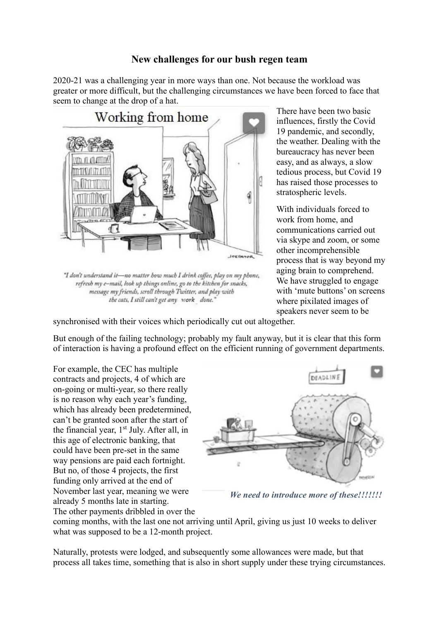## **New challenges for our bush regen team**

2020-21 was a challenging year in more ways than one. Not because the workload was greater or more difficult, but the challenging circumstances we have been forced to face that seem to change at the drop of a hat.



"I don't understand it-no matter how much I drink coffee, play on my phone, refresh my e-mail, look up things online, go to the kitchen for snacks, message my friends, scroll through Twitter, and play with the cats, I still can't get any work done."

There have been two basic influences, firstly the Covid 19 pandemic, and secondly, the weather. Dealing with the bureaucracy has never been easy, and as always, a slow tedious process, but Covid 19 has raised those processes to stratospheric levels.

With individuals forced to work from home, and communications carried out via skype and zoom, or some other incomprehensible process that is way beyond my aging brain to comprehend. We have struggled to engage with 'mute buttons' on screens where pixilated images of speakers never seem to be

synchronised with their voices which periodically cut out altogether.

But enough of the failing technology; probably my fault anyway, but it is clear that this form of interaction is having a profound effect on the efficient running of government departments.

For example, the CEC has multiple contracts and projects, 4 of which are on-going or multi-year, so there really is no reason why each year's funding, which has already been predetermined, can't be granted soon after the start of the financial year,  $1<sup>st</sup>$  July. After all, in this age of electronic banking, that could have been pre-set in the same way pensions are paid each fortnight. But no, of those 4 projects, the first funding only arrived at the end of November last year, meaning we were already 5 months late in starting. The other payments dribbled in over the



*We need to introduce more of these!!!!!!!*

coming months, with the last one not arriving until April, giving us just 10 weeks to deliver what was supposed to be a 12-month project.

Naturally, protests were lodged, and subsequently some allowances were made, but that process all takes time, something that is also in short supply under these trying circumstances.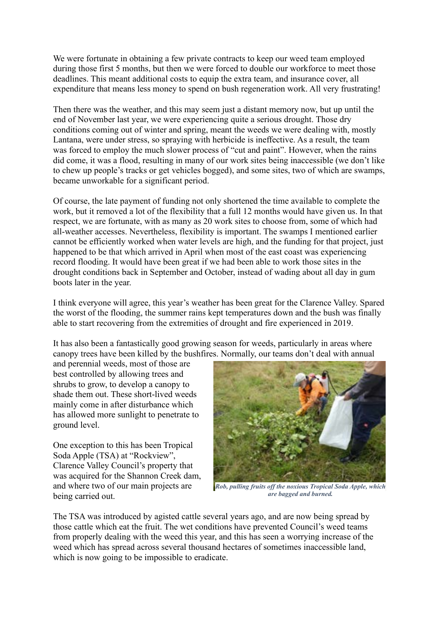We were fortunate in obtaining a few private contracts to keep our weed team employed during those first 5 months, but then we were forced to double our workforce to meet those deadlines. This meant additional costs to equip the extra team, and insurance cover, all expenditure that means less money to spend on bush regeneration work. All very frustrating!

Then there was the weather, and this may seem just a distant memory now, but up until the end of November last year, we were experiencing quite a serious drought. Those dry conditions coming out of winter and spring, meant the weeds we were dealing with, mostly Lantana, were under stress, so spraying with herbicide is ineffective. As a result, the team was forced to employ the much slower process of "cut and paint". However, when the rains did come, it was a flood, resulting in many of our work sites being inaccessible (we don't like to chew up people's tracks or get vehicles bogged), and some sites, two of which are swamps, became unworkable for a significant period.

Of course, the late payment of funding not only shortened the time available to complete the work, but it removed a lot of the flexibility that a full 12 months would have given us. In that respect, we are fortunate, with as many as 20 work sites to choose from, some of which had all-weather accesses. Nevertheless, flexibility is important. The swamps I mentioned earlier cannot be efficiently worked when water levels are high, and the funding for that project, just happened to be that which arrived in April when most of the east coast was experiencing record flooding. It would have been great if we had been able to work those sites in the drought conditions back in September and October, instead of wading about all day in gum boots later in the year.

I think everyone will agree, this year's weather has been great for the Clarence Valley. Spared the worst of the flooding, the summer rains kept temperatures down and the bush was finally able to start recovering from the extremities of drought and fire experienced in 2019.

It has also been a fantastically good growing season for weeds, particularly in areas where canopy trees have been killed by the bushfires. Normally, our teams don't deal with annual

and perennial weeds, most of those are best controlled by allowing trees and shrubs to grow, to develop a canopy to shade them out. These short-lived weeds mainly come in after disturbance which has allowed more sunlight to penetrate to ground level.

One exception to this has been Tropical Soda Apple (TSA) at "Rockview", Clarence Valley Council's property that was acquired for the Shannon Creek dam, and where two of our main projects are being carried out.



*Rob, pulling fruits off the noxious Tropical Soda Apple, which are bagged and burned.*

The TSA was introduced by agisted cattle several years ago, and are now being spread by those cattle which eat the fruit. The wet conditions have prevented Council's weed teams from properly dealing with the weed this year, and this has seen a worrying increase of the weed which has spread across several thousand hectares of sometimes inaccessible land, which is now going to be impossible to eradicate.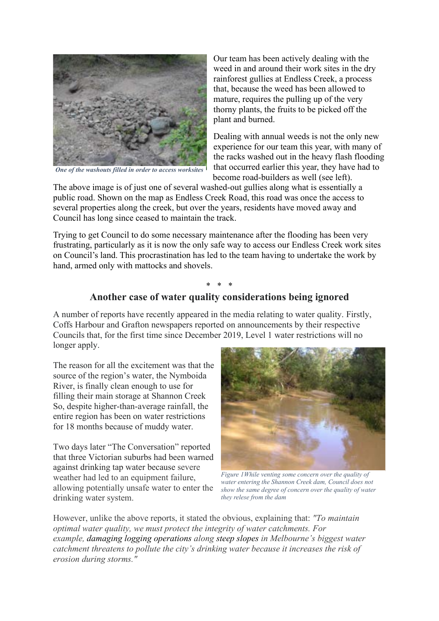

*One of the washouts filled in order to access worksites*

Our team has been actively dealing with the weed in and around their work sites in the dry rainforest gullies at Endless Creek, a process that, because the weed has been allowed to mature, requires the pulling up of the very thorny plants, the fruits to be picked off the plant and burned.

Dealing with annual weeds is not the only new experience for our team this year, with many of the racks washed out in the heavy flash flooding that occurred earlier this year, they have had to become road-builders as well (see left).

The above image is of just one of several washed-out gullies along what is essentially a public road. Shown on the map as Endless Creek Road, this road was once the access to several properties along the creek, but over the years, residents have moved away and Council has long since ceased to maintain the track.

Trying to get Council to do some necessary maintenance after the flooding has been very frustrating, particularly as it is now the only safe way to access our Endless Creek work sites on Council's land. This procrastination has led to the team having to undertake the work by hand, armed only with mattocks and shovels.

## \* \* \* **Another case of water quality considerations being ignored**

A number of reports have recently appeared in the media relating to water quality. Firstly, Coffs Harbour and Grafton newspapers reported on announcements by their respective Councils that, for the first time since December 2019, Level 1 water restrictions will no longer apply.

The reason for all the excitement was that the source of the region's water, the Nymboida River, is finally clean enough to use for filling their main storage at Shannon Creek So, despite higher-than-average rainfall, the entire region has been on water restrictions for 18 months because of muddy water.

Two days later "The Conversation" reported that three Victorian suburbs had been warned against drinking tap water because severe weather had led to an equipment failure, allowing potentially unsafe water to enter the drinking water system.



*Figure 1While venting some concern over the quality of water entering the Shannon Creek dam, Council does not show the same degree of concern over the quality of water they relese from the dam*

However, unlike the above reports, it stated the obvious, explaining that: *"To maintain optimal water quality, we must protect the integrity of water catchments. For example, damaging logging operations along steep slopes in Melbourne's biggest water catchment threatens to pollute the city's drinking water because it increases the risk of erosion during storms."*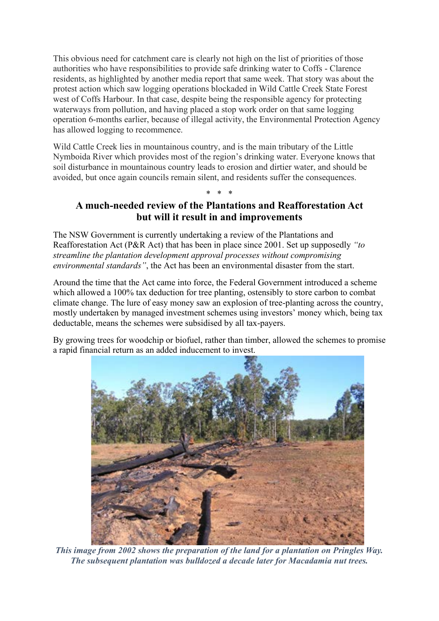This obvious need for catchment care is clearly not high on the list of priorities of those authorities who have responsibilities to provide safe drinking water to Coffs - Clarence residents, as highlighted by another media report that same week. That story was about the protest action which saw logging operations blockaded in Wild Cattle Creek State Forest west of Coffs Harbour. In that case, despite being the responsible agency for protecting waterways from pollution, and having placed a stop work order on that same logging operation 6-months earlier, because of illegal activity, the Environmental Protection Agency has allowed logging to recommence.

Wild Cattle Creek lies in mountainous country, and is the main tributary of the Little Nymboida River which provides most of the region's drinking water. Everyone knows that soil disturbance in mountainous country leads to erosion and dirtier water, and should be avoided, but once again councils remain silent, and residents suffer the consequences.

## \* \* \* **A much-needed review of the Plantations and Reafforestation Act but will it result in and improvements**

The NSW Government is currently undertaking a review of the Plantations and Reafforestation Act (P&R Act) that has been in place since 2001. Set up supposedly *"to streamline the plantation development approval processes without compromising environmental standards"*, the Act has been an environmental disaster from the start.

Around the time that the Act came into force, the Federal Government introduced a scheme which allowed a 100% tax deduction for tree planting, ostensibly to store carbon to combat climate change. The lure of easy money saw an explosion of tree-planting across the country, mostly undertaken by managed investment schemes using investors' money which, being tax deductable, means the schemes were subsidised by all tax-payers.

By growing trees for woodchip or biofuel, rather than timber, allowed the schemes to promise a rapid financial return as an added inducement to invest.



*This image from 2002 shows the preparation of the land for a plantation on Pringles Way. The subsequent plantation was bulldozed a decade later for Macadamia nut trees.*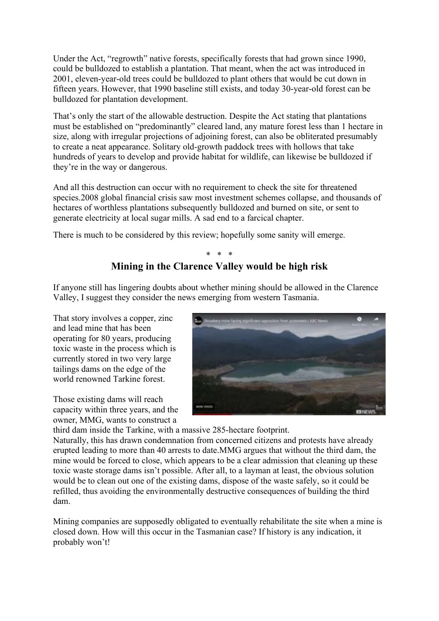Under the Act, "regrowth" native forests, specifically forests that had grown since 1990, could be bulldozed to establish a plantation. That meant, when the act was introduced in 2001, eleven-year-old trees could be bulldozed to plant others that would be cut down in fifteen years. However, that 1990 baseline still exists, and today 30-year-old forest can be bulldozed for plantation development.

That's only the start of the allowable destruction. Despite the Act stating that plantations must be established on "predominantly" cleared land, any mature forest less than 1 hectare in size, along with irregular projections of adjoining forest, can also be obliterated presumably to create a neat appearance. Solitary old-growth paddock trees with hollows that take hundreds of years to develop and provide habitat for wildlife, can likewise be bulldozed if they're in the way or dangerous.

And all this destruction can occur with no requirement to check the site for threatened species.2008 global financial crisis saw most investment schemes collapse, and thousands of hectares of worthless plantations subsequently bulldozed and burned on site, or sent to generate electricity at local sugar mills. A sad end to a farcical chapter.

There is much to be considered by this review; hopefully some sanity will emerge.

### \* \* \* **Mining in the Clarence Valley would be high risk**

If anyone still has lingering doubts about whether mining should be allowed in the Clarence Valley, I suggest they consider the news emerging from western Tasmania.

That story involves a copper, zinc and lead mine that has been operating for 80 years, producing toxic waste in the process which is currently stored in two very large tailings dams on the edge of the world renowned Tarkine forest.

Those existing dams will reach capacity within three years, and the owner, MMG, wants to construct a



third dam inside the Tarkine, with a massive 285-hectare footprint.

Naturally, this has drawn condemnation from concerned citizens and protests have already erupted leading to more than 40 arrests to date.MMG argues that without the third dam, the mine would be forced to close, which appears to be a clear admission that cleaning up these toxic waste storage dams isn't possible. After all, to a layman at least, the obvious solution would be to clean out one of the existing dams, dispose of the waste safely, so it could be refilled, thus avoiding the environmentally destructive consequences of building the third dam.

Mining companies are supposedly obligated to eventually rehabilitate the site when a mine is closed down. How will this occur in the Tasmanian case? If history is any indication, it probably won't!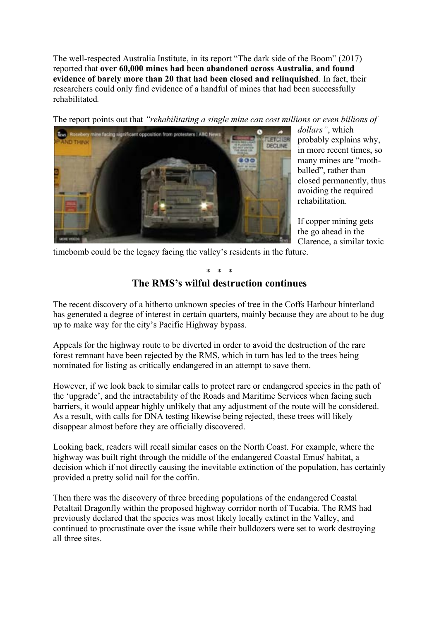The well-respected Australia Institute, in its report "The dark side of the Boom" (2017) reported that **over 60,000 mines had been abandoned across Australia, and found evidence of barely more than 20 that had been closed and relinquished**. In fact, their researchers could only find evidence of a handful of mines that had been successfully rehabilitated*.* 

The report points out that *"rehabilitating a single mine can cost millions or even billions of* 



*dollars"*, which probably explains why, in more recent times, so many mines are "mothballed", rather than closed permanently, thus avoiding the required rehabilitation.

If copper mining gets the go ahead in the Clarence, a similar toxic

timebomb could be the legacy facing the valley's residents in the future.

### \* \* \* **The RMS's wilful destruction continues**

The recent discovery of a hitherto unknown species of tree in the Coffs Harbour hinterland has generated a degree of interest in certain quarters, mainly because they are about to be dug up to make way for the city's Pacific Highway bypass.

Appeals for the highway route to be diverted in order to avoid the destruction of the rare forest remnant have been rejected by the RMS, which in turn has led to the trees being nominated for listing as critically endangered in an attempt to save them.

However, if we look back to similar calls to protect rare or endangered species in the path of the 'upgrade', and the intractability of the Roads and Maritime Services when facing such barriers, it would appear highly unlikely that any adjustment of the route will be considered. As a result, with calls for DNA testing likewise being rejected, these trees will likely disappear almost before they are officially discovered.

Looking back, readers will recall similar cases on the North Coast. For example, where the highway was built right through the middle of the endangered Coastal Emus' habitat, a decision which if not directly causing the inevitable extinction of the population, has certainly provided a pretty solid nail for the coffin.

Then there was the discovery of three breeding populations of the endangered Coastal Petaltail Dragonfly within the proposed highway corridor north of Tucabia. The RMS had previously declared that the species was most likely locally extinct in the Valley, and continued to procrastinate over the issue while their bulldozers were set to work destroying all three sites.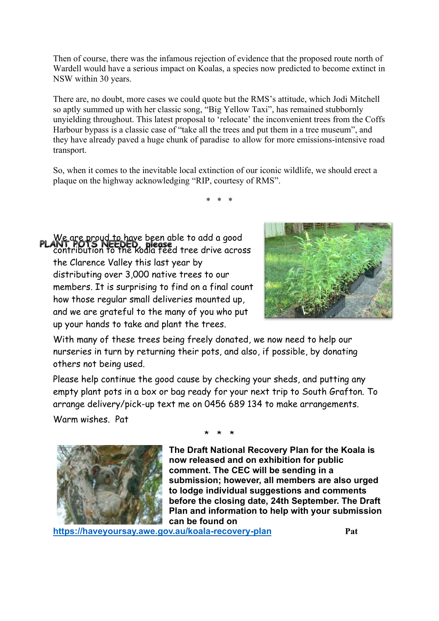Then of course, there was the infamous rejection of evidence that the proposed route north of Wardell would have a serious impact on Koalas, a species now predicted to become extinct in NSW within 30 years.

There are, no doubt, more cases we could quote but the RMS's attitude, which Jodi Mitchell so aptly summed up with her classic song, "Big Yellow Taxi", has remained stubbornly unyielding throughout. This latest proposal to 'relocate' the inconvenient trees from the Coffs Harbour bypass is a classic case of "take all the trees and put them in a tree museum", and they have already paved a huge chunk of paradise to allow for more emissions-intensive road transport.

So, when it comes to the inevitable local extinction of our iconic wildlife, we should erect a plaque on the highway acknowledging "RIP, courtesy of RMS".

\* \* \*

We are proud to have been able to add a good ani, PUIS NEEDED, piease<br>contribution to the koala feed tree drive across the Clarence Valley this last year by distributing over 3,000 native trees to our members. It is surprising to find on a final count how those regular small deliveries mounted up, and we are grateful to the many of you who put up your hands to take and plant the trees.



With many of these trees being freely donated, we now need to help our nurseries in turn by returning their pots, and also, if possible, by donating others not being used.

Please help continue the good cause by checking your sheds, and putting any empty plant pots in a box or bag ready for your next trip to South Grafton. To arrange delivery/pick-up text me on 0456 689 134 to make arrangements.

Warm wishes. Pat



\* \* \*

**The Draft National Recovery Plan for the Koala is now released and on exhibition for public comment. The CEC will be sending in a submission; however, all members are also urged to lodge individual suggestions and comments before the closing date, 24th September. The Draft Plan and information to help with your submission can be found on** 

**https://haveyoursay.awe.gov.au/koala-recovery-plan Pat**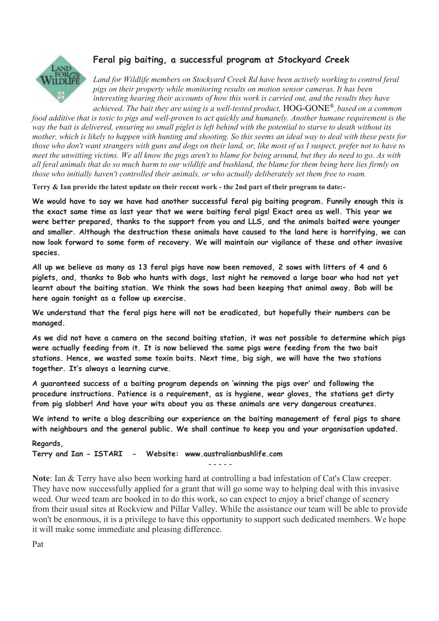

# **Feral pig baiting, a successful program at Stockyard Creek**

Land for Wildlife members on Stockvard Creek Rd have been actively working to control feral *pigs on their property while monitoring results on motion sensor cameras. It has been interesting hearing their accounts of how this work is carried out, and the results they have achieved. The bait they are using is a well-tested product,* HOG-GONE® , *based on a common* 

*food additive that is toxic to pigs and well-proven to act quickly and humanely. Another humane requirement is the way the bait is delivered, ensuring no small piglet is left behind with the potential to starve to death without its mother, which is likely to happen with hunting and shooting. So this seems an ideal way to deal with these pests for those who don't want strangers with guns and dogs on their land, or, like most of us I suspect, prefer not to have to meet the unwitting victims. We all know the pigs aren't to blame for being around, but they do need to go. As with all feral animals that do so much harm to our wildlife and bushland, the blame for them being here lies firmly on those who initially haven't controlled their animals, or who actually deliberately set them free to roam.*

**Terry & Ian provide the latest update on their recent work - the 2nd part of their program to date:-**

**We would have to say we have had another successful feral pig baiting program. Funnily enough this is the exact same time as last year that we were baiting feral pigs! Exact area as well. This year we were better prepared, thanks to the support from you and LLS, and the animals baited were younger and smaller. Although the destruction these animals have caused to the land here is horrifying, we can now look forward to some form of recovery. We will maintain our vigilance of these and other invasive species.**

**All up we believe as many as 13 feral pigs have now been removed, 2 sows with litters of 4 and 6 piglets, and, thanks to Bob who hunts with dogs, last night he removed a large boar who had not yet learnt about the baiting station. We think the sows had been keeping that animal away. Bob will be here again tonight as a follow up exercise.**

**We understand that the feral pigs here will not be eradicated, but hopefully their numbers can be managed.**

**As we did not have a camera on the second baiting station, it was not possible to determine which pigs were actually feeding from it. It is now believed the same pigs were feeding from the two bait stations. Hence, we wasted some toxin baits. Next time, big sigh, we will have the two stations together. It's always a learning curve.**

**A guaranteed success of a baiting program depends on 'winning the pigs over' and following the procedure instructions. Patience is a requirement, as is hygiene, wear gloves, the stations get dirty from pig slobber! And have your wits about you as these animals are very dangerous creatures.**

**We intend to write a blog describing our experience on the baiting management of feral pigs to share with neighbours and the general public. We shall continue to keep you and your organisation updated.**

**Regards, Terry and Ian - ISTARI - Website: www.australianbushlife.com** - - - - -

**Note**: Ian & Terry have also been working hard at controlling a bad infestation of Cat's Claw creeper. They have now successfully applied for a grant that will go some way to helping deal with this invasive weed. Our weed team are booked in to do this work, so can expect to enjoy a brief change of scenery from their usual sites at Rockview and Pillar Valley. While the assistance our team will be able to provide won't be enormous, it is a privilege to have this opportunity to support such dedicated members. We hope it will make some immediate and pleasing difference.

Pat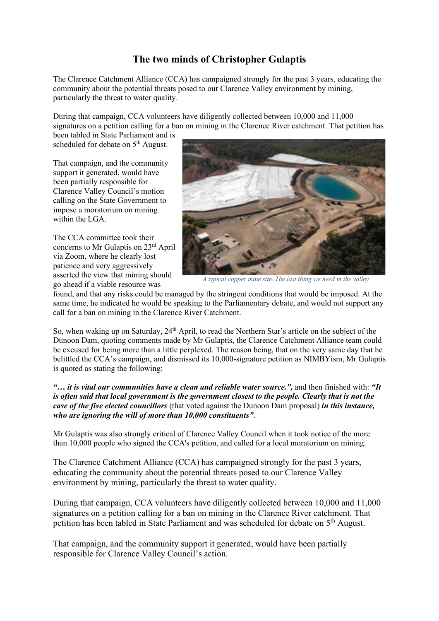# **The two minds of Christopher Gulaptis**

The Clarence Catchment Alliance (CCA) has campaigned strongly for the past 3 years, educating the community about the potential threats posed to our Clarence Valley environment by mining, particularly the threat to water quality.

During that campaign, CCA volunteers have diligently collected between 10,000 and 11,000 signatures on a petition calling for a ban on mining in the Clarence River catchment. That petition has

been tabled in State Parliament and is scheduled for debate on 5<sup>th</sup> August.

That campaign, and the community support it generated, would have been partially responsible for Clarence Valley Council's motion calling on the State Government to impose a moratorium on mining within the LGA.

The CCA committee took their concerns to Mr Gulaptis on 23rd April via Zoom, where he clearly lost patience and very aggressively asserted the view that mining should go ahead if a viable resource was



 *A typical copper mine site. The last thing we need in the valley*

found, and that any risks could be managed by the stringent conditions that would be imposed. At the same time, he indicated he would be speaking to the Parliamentary debate, and would not support any call for a ban on mining in the Clarence River Catchment.

So, when waking up on Saturday, 24<sup>th</sup> April, to read the Northern Star's article on the subject of the Dunoon Dam, quoting comments made by Mr Gulaptis, the Clarence Catchment Alliance team could be excused for being more than a little perplexed. The reason being, that on the very same day that he belittled the CCA's campaign, and dismissed its 10,000-signature petition as NIMBYism, Mr Gulaptis is quoted as stating the following:

*"… it is vital our communities have a clean and reliable water source.",* and then finished with: *"It is often said that local government is the government closest to the people. Clearly that is not the case of the five elected councillors* (that voted against the Dunoon Dam proposal) *in this instance, who are ignoring the will of more than 10,000 constituents"*.

Mr Gulaptis was also strongly critical of Clarence Valley Council when it took notice of the more than 10,000 people who signed the CCA's petition, and called for a local moratorium on mining.

The Clarence Catchment Alliance (CCA) has campaigned strongly for the past 3 years, educating the community about the potential threats posed to our Clarence Valley environment by mining, particularly the threat to water quality.

During that campaign, CCA volunteers have diligently collected between 10,000 and 11,000 signatures on a petition calling for a ban on mining in the Clarence River catchment. That petition has been tabled in State Parliament and was scheduled for debate on 5<sup>th</sup> August.

That campaign, and the community support it generated, would have been partially responsible for Clarence Valley Council's action.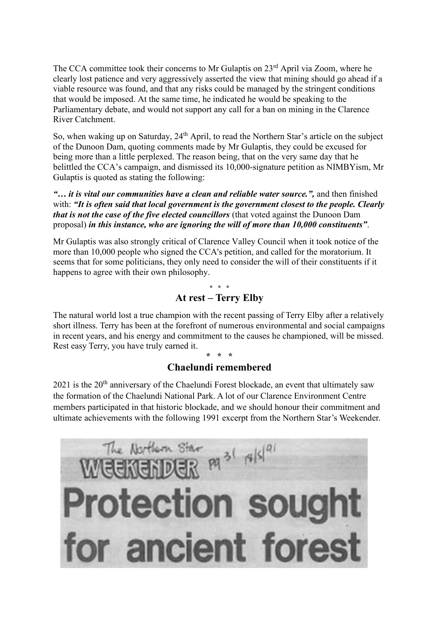The CCA committee took their concerns to Mr Gulaptis on 23<sup>rd</sup> April via Zoom, where he clearly lost patience and very aggressively asserted the view that mining should go ahead if a viable resource was found, and that any risks could be managed by the stringent conditions that would be imposed. At the same time, he indicated he would be speaking to the Parliamentary debate, and would not support any call for a ban on mining in the Clarence River Catchment.

So, when waking up on Saturday, 24<sup>th</sup> April, to read the Northern Star's article on the subject of the Dunoon Dam, quoting comments made by Mr Gulaptis, they could be excused for being more than a little perplexed. The reason being, that on the very same day that he belittled the CCA's campaign, and dismissed its 10,000-signature petition as NIMBYism, Mr Gulaptis is quoted as stating the following:

*"… it is vital our communities have a clean and reliable water source.",* and then finished with: *"It is often said that local government is the government closest to the people. Clearly that is not the case of the five elected councillors* (that voted against the Dunoon Dam proposal) *in this instance, who are ignoring the will of more than 10,000 constituents"*.

Mr Gulaptis was also strongly critical of Clarence Valley Council when it took notice of the more than 10,000 people who signed the CCA's petition, and called for the moratorium. It seems that for some politicians, they only need to consider the will of their constituents if it happens to agree with their own philosophy.

> **\* \* \* At rest – Terry Elby**

The natural world lost a true champion with the recent passing of Terry Elby after a relatively short illness. Terry has been at the forefront of numerous environmental and social campaigns in recent years, and his energy and commitment to the causes he championed, will be missed. Rest easy Terry, you have truly earned it.

### **\* \* \* Chaelundi remembered**

 $2021$  is the  $20<sup>th</sup>$  anniversary of the Chaelundi Forest blockade, an event that ultimately saw the formation of the Chaelundi National Park. A lot of our Clarence Environment Centre members participated in that historic blockade, and we should honour their commitment and ultimate achievements with the following 1991 excerpt from the Northern Star's Weekender.

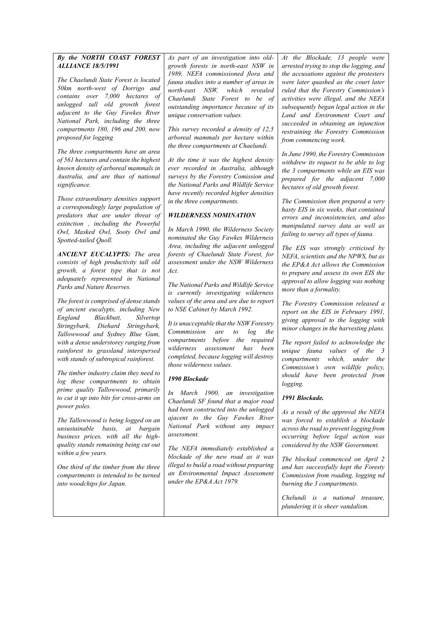#### *By the NORTH COAST FOREST ALLIANCE 18/5/1991*

*The Chaelundi State Forest is located 50km north-west of Dorrigo and contains over 7,000 hectares of unlogged tall old growth forest adjacent to the Guy Fawkes River National Park, including the three compartments 180, 196 and 200, now proposed for logging*

*The three compartments have an area of 561 hectares and contain the highest known density of arboreal mammals in Australia, and are thus of national significance.*

*Those extraordinary densities support a correspondingly large population of predators that are under threat of extinction , including the Powerful Owl, Masked Owl, Sooty Owl and Spotted-tailed Quoll.*

*ANCIENT EUCALYPTS: The area consists of high productivity tall old growth, a forest type that is not adequately represented in National Parks and Nature Reserves.*

*The forest is comprised of dense stands of ancient eucalypts, including New England Blackbutt, Silvertop Stringybark, Diehard Stringybark, Tallowwood and Sydney Blue Gum, with a dense understorey ranging from rainforest to grassland interspersed with stands of subtropical rainforest.*

*The timber industry claim they need to log these compartments to obtain prime quality Tallowwood, primarily to cut it up into bits for cross-arms on power poles.*

*The Tallowwood is being logged on an unsustainable basis, at bargain business prices, with all the highquality stands remaining being cut out within a few years.*

*One third of the timber from the three compartments is intended to be turned into woodchips for Japan.*

*As part of an investigation into oldgrowth forests in north-east NSW in 1989, NEFA commissioned flora and fauna studies into a number of areas in north-east NSW, which revealed Chaelundi State Forest to be of outstanding importance because of its unique conservation values.*

*This survey recorded a density of 12,5 arboreal mammals per hectare within the three compartments at Chaelundi.*

*At the time it was the highest density ever recorded in Australia, although surveys by the Forestry Comission and the National Parks and Wildlife Service have recently recorded higher densities in the three compartments.*

#### *WILDERNESS NOMINATION*

*In March 1990, the Wilderness Society nominated the Guy Fawkes Wilderness Area, including the adjacent unlogged forests of Chaelundi State Forest, for assessment under the NSW Wilderness Act.*

*The National Parks and Wildlife Service is currently investigating wilderness values of the area and are due to report to NSE Cabinet by March 1992.*

*It is unacceptable that the NSW Forestry Commmission are to log the compartments before the required wilderness assessment has been completed, because logging will destroy those wilderness values.*

#### *1990 Blockade*

*In March 1900, an investigation Chaelundi SF found that a major road had been constructed into the unlogged ajacent to the Guy Fawkes River National Park without any impact assessment.*

*The NEFA immediately established a blockade of the new road as it was illegal to build a road without preparing an Environmental Impact Assessment under the EP&A Act 1979.*

*At the Blockade, 13 people were arrested trying to stop the logging, and the accusations against the protesters were later quashed as the court later ruled that the Forestry Commission's activities were illegal, and the NEFA subsequently began legal action in the Land and Environment Court and succeeded in obtaining an injunction restraining the Forestry Commission from commencing work.*

*In June 1990, the Forestry Commission withdrew its request to be able to log the 3 compartments while an EIS was prepared for the adjacent 7,000 hectares of old growth forest.*

*The Commission then prepared a very hasty EIS in six weeks, that contained errors and inconsistencies, and also manipulated survey data as well as failing to survey all types of fauna.*

*The EIS was strongly criticised by NEFA, scientists and the NPWS, but as the EP&A Act allows the Commission to prepare and assess its own EIS the approval to allow logging was nothing more than a formality.*

*The Forestry Commission released a report on the EIS in February 1991, giving approval to the logging with minor changes in the harvesting plans.*

*The report failed to acknowledge the unique fauna values of the 3 compartments which, under the Commission's own wildlife policy, should have been protected from logging.*

#### *1991 Blockade.*

*As a result of the approval the NEFA was forced to establish a blockade across the road to prevent logging from occurring before legal action was considered by the NSW Government.*

*The blockad commenced on April 2 and has successfully kept the Foresty Commission from roading, logging nd burning the 3 compartments.*

*Chelundi is a national treasure, plundering it is sheer vandalism.*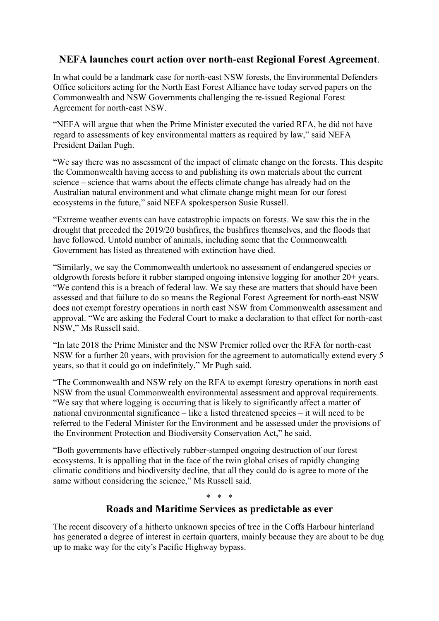# **NEFA launches court action over north-east Regional Forest Agreement**.

In what could be a landmark case for north-east NSW forests, the Environmental Defenders Office solicitors acting for the North East Forest Alliance have today served papers on the Commonwealth and NSW Governments challenging the re-issued Regional Forest Agreement for north-east NSW.

"NEFA will argue that when the Prime Minister executed the varied RFA, he did not have regard to assessments of key environmental matters as required by law," said NEFA President Dailan Pugh.

"We say there was no assessment of the impact of climate change on the forests. This despite the Commonwealth having access to and publishing its own materials about the current science – science that warns about the effects climate change has already had on the Australian natural environment and what climate change might mean for our forest ecosystems in the future," said NEFA spokesperson Susie Russell.

"Extreme weather events can have catastrophic impacts on forests. We saw this the in the drought that preceded the 2019/20 bushfires, the bushfires themselves, and the floods that have followed. Untold number of animals, including some that the Commonwealth Government has listed as threatened with extinction have died.

"Similarly, we say the Commonwealth undertook no assessment of endangered species or oldgrowth forests before it rubber stamped ongoing intensive logging for another 20+ years. "We contend this is a breach of federal law. We say these are matters that should have been assessed and that failure to do so means the Regional Forest Agreement for north-east NSW does not exempt forestry operations in north east NSW from Commonwealth assessment and approval. "We are asking the Federal Court to make a declaration to that effect for north-east NSW," Ms Russell said.

"In late 2018 the Prime Minister and the NSW Premier rolled over the RFA for north-east NSW for a further 20 years, with provision for the agreement to automatically extend every 5 years, so that it could go on indefinitely," Mr Pugh said.

"The Commonwealth and NSW rely on the RFA to exempt forestry operations in north east NSW from the usual Commonwealth environmental assessment and approval requirements. "We say that where logging is occurring that is likely to significantly affect a matter of national environmental significance – like a listed threatened species – it will need to be referred to the Federal Minister for the Environment and be assessed under the provisions of the Environment Protection and Biodiversity Conservation Act," he said.

"Both governments have effectively rubber-stamped ongoing destruction of our forest ecosystems. It is appalling that in the face of the twin global crises of rapidly changing climatic conditions and biodiversity decline, that all they could do is agree to more of the same without considering the science," Ms Russell said.

\* \* \*

## **Roads and Maritime Services as predictable as ever**

The recent discovery of a hitherto unknown species of tree in the Coffs Harbour hinterland has generated a degree of interest in certain quarters, mainly because they are about to be dug up to make way for the city's Pacific Highway bypass.